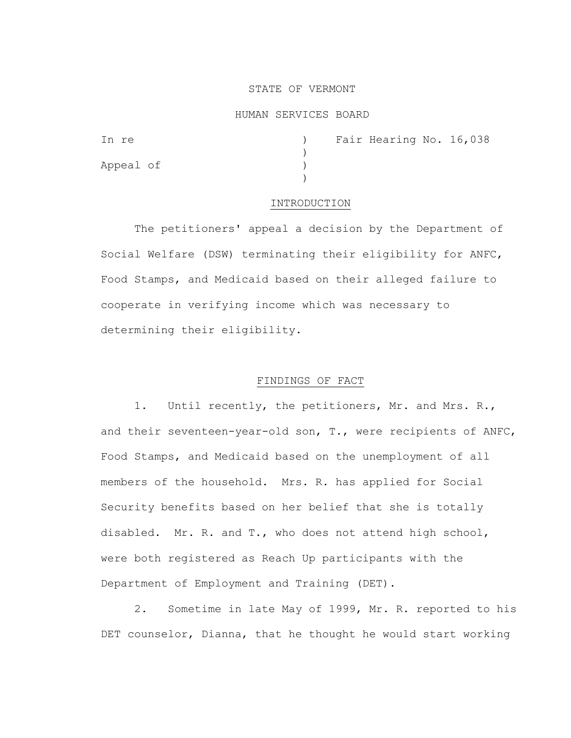#### STATE OF VERMONT

# HUMAN SERVICES BOARD

| In re     |  | ) Fair Hearing No. 16,038 |  |
|-----------|--|---------------------------|--|
|           |  |                           |  |
| Appeal of |  |                           |  |
|           |  |                           |  |

## INTRODUCTION

The petitioners' appeal a decision by the Department of Social Welfare (DSW) terminating their eligibility for ANFC, Food Stamps, and Medicaid based on their alleged failure to cooperate in verifying income which was necessary to determining their eligibility.

### FINDINGS OF FACT

1. Until recently, the petitioners, Mr. and Mrs. R., and their seventeen-year-old son, T., were recipients of ANFC, Food Stamps, and Medicaid based on the unemployment of all members of the household. Mrs. R. has applied for Social Security benefits based on her belief that she is totally disabled. Mr. R. and T., who does not attend high school, were both registered as Reach Up participants with the Department of Employment and Training (DET).

2. Sometime in late May of 1999, Mr. R. reported to his DET counselor, Dianna, that he thought he would start working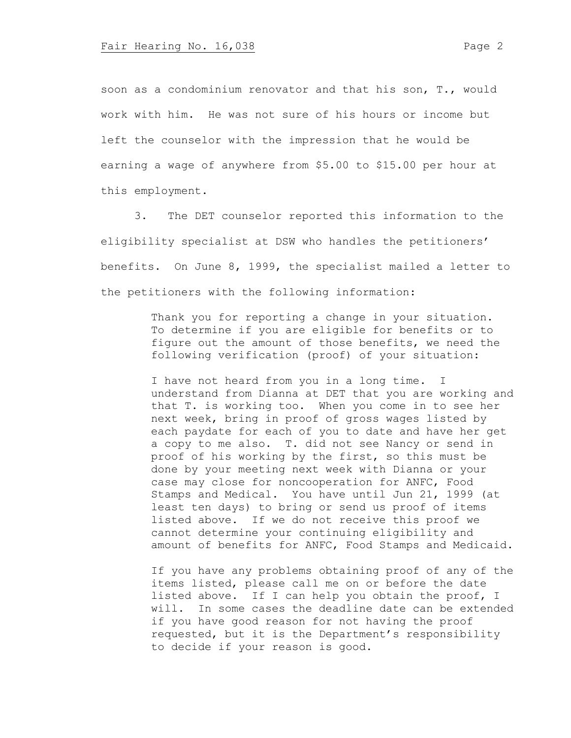soon as a condominium renovator and that his son, T., would work with him. He was not sure of his hours or income but left the counselor with the impression that he would be earning a wage of anywhere from \$5.00 to \$15.00 per hour at this employment.

3. The DET counselor reported this information to the eligibility specialist at DSW who handles the petitioners' benefits. On June 8, 1999, the specialist mailed a letter to the petitioners with the following information:

> Thank you for reporting a change in your situation. To determine if you are eligible for benefits or to figure out the amount of those benefits, we need the following verification (proof) of your situation:

I have not heard from you in a long time. I understand from Dianna at DET that you are working and that T. is working too. When you come in to see her next week, bring in proof of gross wages listed by each paydate for each of you to date and have her get a copy to me also. T. did not see Nancy or send in proof of his working by the first, so this must be done by your meeting next week with Dianna or your case may close for noncooperation for ANFC, Food Stamps and Medical. You have until Jun 21, 1999 (at least ten days) to bring or send us proof of items listed above. If we do not receive this proof we cannot determine your continuing eligibility and amount of benefits for ANFC, Food Stamps and Medicaid.

If you have any problems obtaining proof of any of the items listed, please call me on or before the date listed above. If I can help you obtain the proof, I will. In some cases the deadline date can be extended if you have good reason for not having the proof requested, but it is the Department's responsibility to decide if your reason is good.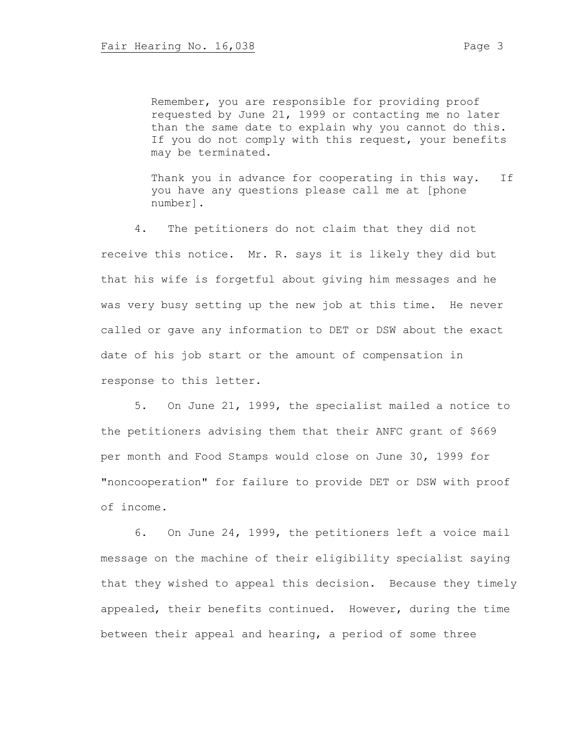Remember, you are responsible for providing proof requested by June 21, 1999 or contacting me no later than the same date to explain why you cannot do this. If you do not comply with this request, your benefits may be terminated.

Thank you in advance for cooperating in this way. If you have any questions please call me at [phone number].

4. The petitioners do not claim that they did not receive this notice. Mr. R. says it is likely they did but that his wife is forgetful about giving him messages and he was very busy setting up the new job at this time. He never called or gave any information to DET or DSW about the exact date of his job start or the amount of compensation in response to this letter.

5. On June 21, 1999, the specialist mailed a notice to the petitioners advising them that their ANFC grant of \$669 per month and Food Stamps would close on June 30, 1999 for "noncooperation" for failure to provide DET or DSW with proof of income.

6. On June 24, 1999, the petitioners left a voice mail message on the machine of their eligibility specialist saying that they wished to appeal this decision. Because they timely appealed, their benefits continued. However, during the time between their appeal and hearing, a period of some three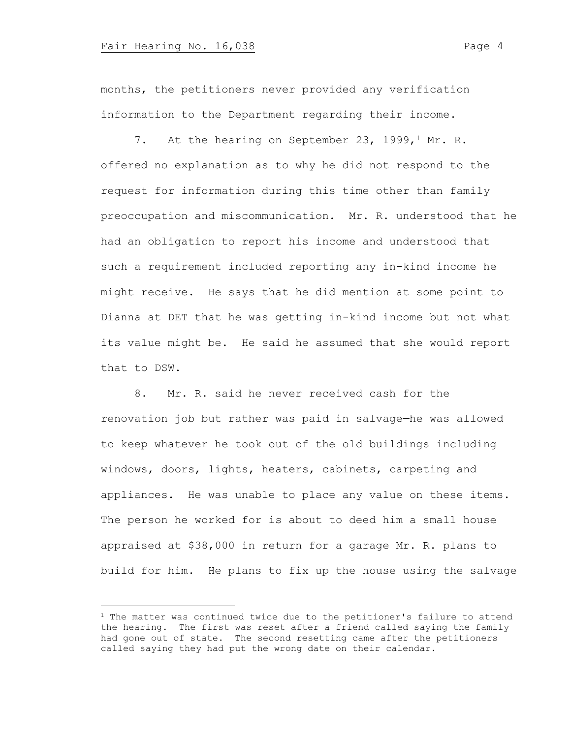months, the petitioners never provided any verification information to the Department regarding their income.

7. At the hearing on September 23, 1999,<sup>1</sup> Mr. R. offered no explanation as to why he did not respond to the request for information during this time other than family preoccupation and miscommunication. Mr. R. understood that he had an obligation to report his income and understood that such a requirement included reporting any in-kind income he might receive. He says that he did mention at some point to Dianna at DET that he was getting in-kind income but not what its value might be. He said he assumed that she would report that to DSW.

8. Mr. R. said he never received cash for the renovation job but rather was paid in salvage—he was allowed to keep whatever he took out of the old buildings including windows, doors, lights, heaters, cabinets, carpeting and appliances. He was unable to place any value on these items. The person he worked for is about to deed him a small house appraised at \$38,000 in return for a garage Mr. R. plans to build for him. He plans to fix up the house using the salvage

 $1$  The matter was continued twice due to the petitioner's failure to attend the hearing. The first was reset after a friend called saying the family had gone out of state. The second resetting came after the petitioners called saying they had put the wrong date on their calendar.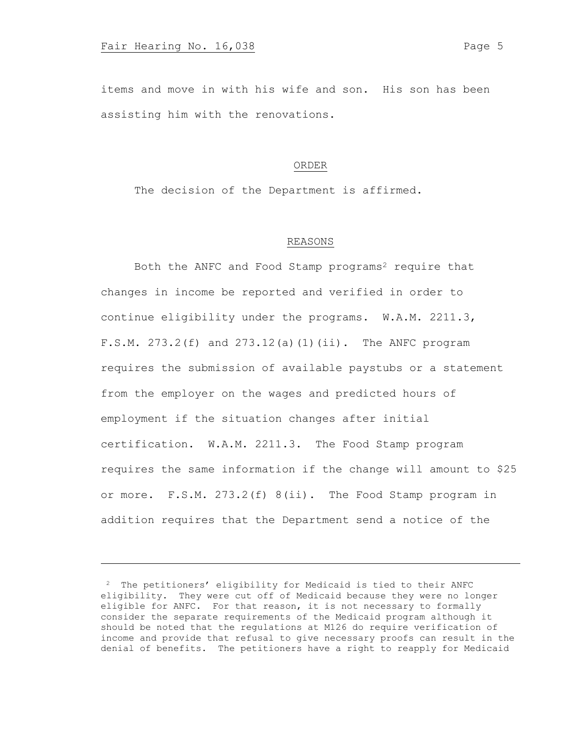items and move in with his wife and son. His son has been assisting him with the renovations.

## ORDER

The decision of the Department is affirmed.

## REASONS

Both the ANFC and Food Stamp programs<sup>2</sup> require that changes in income be reported and verified in order to continue eligibility under the programs. W.A.M. 2211.3, F.S.M. 273.2(f) and 273.12(a)(1)(ii). The ANFC program requires the submission of available paystubs or a statement from the employer on the wages and predicted hours of employment if the situation changes after initial certification. W.A.M. 2211.3. The Food Stamp program requires the same information if the change will amount to \$25 or more. F.S.M. 273.2(f) 8(ii). The Food Stamp program in addition requires that the Department send a notice of the

<sup>2</sup> The petitioners' eligibility for Medicaid is tied to their ANFC eligibility. They were cut off of Medicaid because they were no longer eligible for ANFC. For that reason, it is not necessary to formally consider the separate requirements of the Medicaid program although it should be noted that the regulations at M126 do require verification of income and provide that refusal to give necessary proofs can result in the denial of benefits. The petitioners have a right to reapply for Medicaid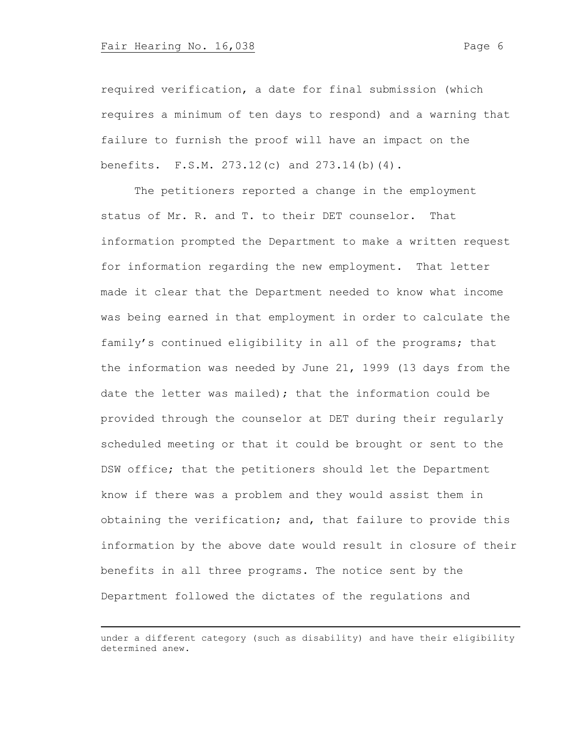### Fair Hearing No. 16,038 Page 6

required verification, a date for final submission (which requires a minimum of ten days to respond) and a warning that failure to furnish the proof will have an impact on the benefits. F.S.M. 273.12(c) and 273.14(b)(4).

The petitioners reported a change in the employment status of Mr. R. and T. to their DET counselor. That information prompted the Department to make a written request for information regarding the new employment. That letter made it clear that the Department needed to know what income was being earned in that employment in order to calculate the family's continued eligibility in all of the programs; that the information was needed by June 21, 1999 (13 days from the date the letter was mailed); that the information could be provided through the counselor at DET during their regularly scheduled meeting or that it could be brought or sent to the DSW office; that the petitioners should let the Department know if there was a problem and they would assist them in obtaining the verification; and, that failure to provide this information by the above date would result in closure of their benefits in all three programs. The notice sent by the Department followed the dictates of the regulations and

under a different category (such as disability) and have their eligibility determined anew.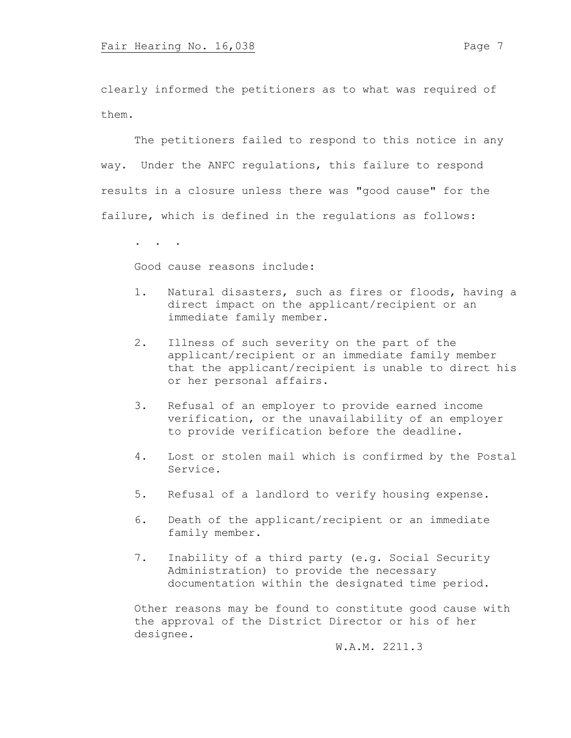clearly informed the petitioners as to what was required of them.

The petitioners failed to respond to this notice in any way. Under the ANFC regulations, this failure to respond results in a closure unless there was "good cause" for the failure, which is defined in the regulations as follows:

. . .

Good cause reasons include:

- 1. Natural disasters, such as fires or floods, having a direct impact on the applicant/recipient or an immediate family member.
- 2. Illness of such severity on the part of the applicant/recipient or an immediate family member that the applicant/recipient is unable to direct his or her personal affairs.
- 3. Refusal of an employer to provide earned income verification, or the unavailability of an employer to provide verification before the deadline.
- 4. Lost or stolen mail which is confirmed by the Postal Service.
- 5. Refusal of a landlord to verify housing expense.
- 6. Death of the applicant/recipient or an immediate family member.
- 7. Inability of a third party (e.g. Social Security Administration) to provide the necessary documentation within the designated time period.

Other reasons may be found to constitute good cause with the approval of the District Director or his of her designee.

W.A.M. 2211.3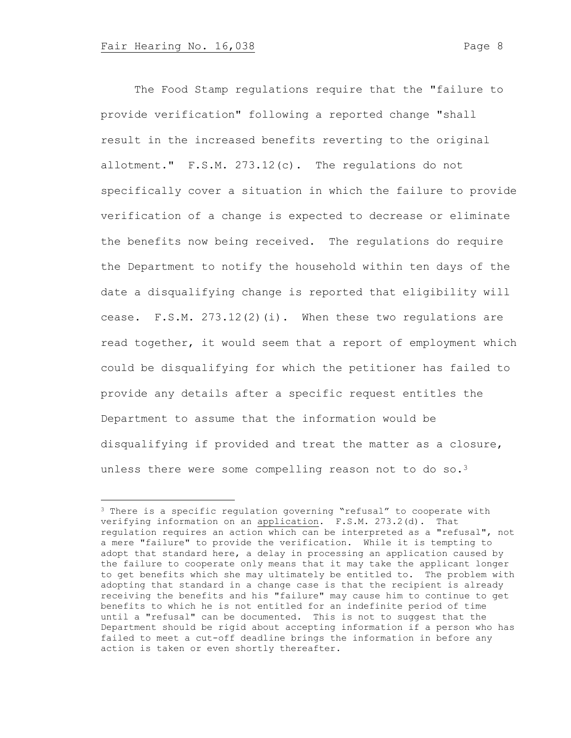The Food Stamp regulations require that the "failure to provide verification" following a reported change "shall result in the increased benefits reverting to the original allotment." F.S.M. 273.12(c). The regulations do not specifically cover a situation in which the failure to provide verification of a change is expected to decrease or eliminate the benefits now being received. The regulations do require the Department to notify the household within ten days of the date a disqualifying change is reported that eligibility will cease. F.S.M.  $273.12(2)(i)$ . When these two regulations are read together, it would seem that a report of employment which could be disqualifying for which the petitioner has failed to provide any details after a specific request entitles the Department to assume that the information would be disqualifying if provided and treat the matter as a closure, unless there were some compelling reason not to do so.<sup>3</sup>

<sup>&</sup>lt;sup>3</sup> There is a specific requlation governing "refusal" to cooperate with verifying information on an application. F.S.M. 273.2(d). That regulation requires an action which can be interpreted as a "refusal", not a mere "failure" to provide the verification. While it is tempting to adopt that standard here, a delay in processing an application caused by the failure to cooperate only means that it may take the applicant longer to get benefits which she may ultimately be entitled to. The problem with adopting that standard in a change case is that the recipient is already receiving the benefits and his "failure" may cause him to continue to get benefits to which he is not entitled for an indefinite period of time until a "refusal" can be documented. This is not to suggest that the Department should be rigid about accepting information if a person who has failed to meet a cut-off deadline brings the information in before any action is taken or even shortly thereafter.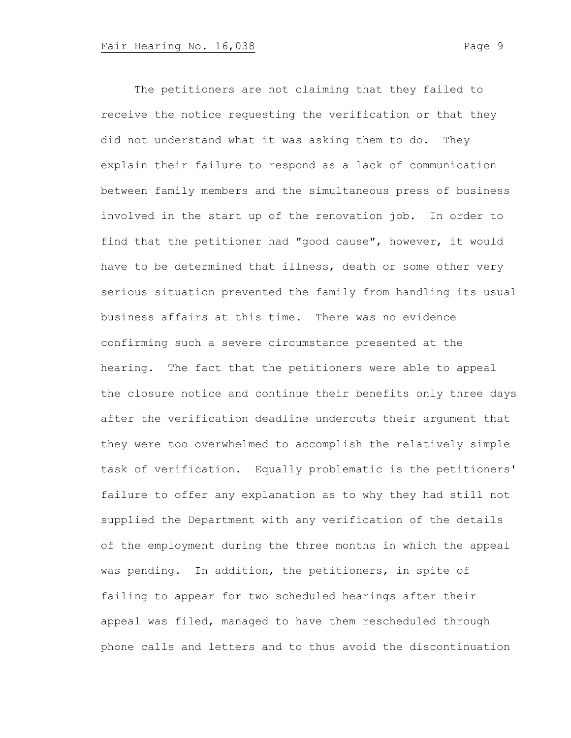The petitioners are not claiming that they failed to receive the notice requesting the verification or that they did not understand what it was asking them to do. They explain their failure to respond as a lack of communication between family members and the simultaneous press of business involved in the start up of the renovation job. In order to find that the petitioner had "good cause", however, it would have to be determined that illness, death or some other very serious situation prevented the family from handling its usual business affairs at this time. There was no evidence confirming such a severe circumstance presented at the hearing. The fact that the petitioners were able to appeal the closure notice and continue their benefits only three days after the verification deadline undercuts their argument that they were too overwhelmed to accomplish the relatively simple task of verification. Equally problematic is the petitioners' failure to offer any explanation as to why they had still not supplied the Department with any verification of the details of the employment during the three months in which the appeal was pending. In addition, the petitioners, in spite of failing to appear for two scheduled hearings after their appeal was filed, managed to have them rescheduled through phone calls and letters and to thus avoid the discontinuation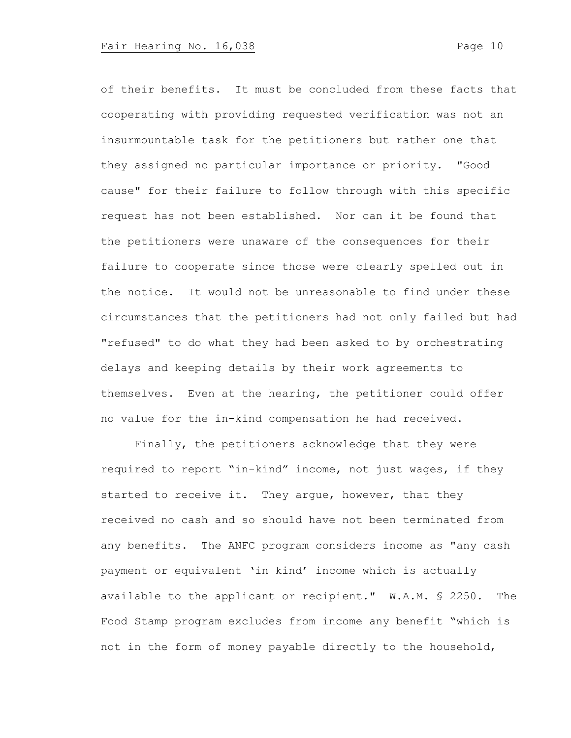of their benefits. It must be concluded from these facts that cooperating with providing requested verification was not an insurmountable task for the petitioners but rather one that they assigned no particular importance or priority. "Good cause" for their failure to follow through with this specific request has not been established. Nor can it be found that the petitioners were unaware of the consequences for their failure to cooperate since those were clearly spelled out in the notice. It would not be unreasonable to find under these circumstances that the petitioners had not only failed but had "refused" to do what they had been asked to by orchestrating delays and keeping details by their work agreements to themselves. Even at the hearing, the petitioner could offer no value for the in-kind compensation he had received.

Finally, the petitioners acknowledge that they were required to report "in-kind" income, not just wages, if they started to receive it. They argue, however, that they received no cash and so should have not been terminated from any benefits. The ANFC program considers income as "any cash payment or equivalent 'in kind' income which is actually available to the applicant or recipient." W.A.M. § 2250. The Food Stamp program excludes from income any benefit "which is not in the form of money payable directly to the household,